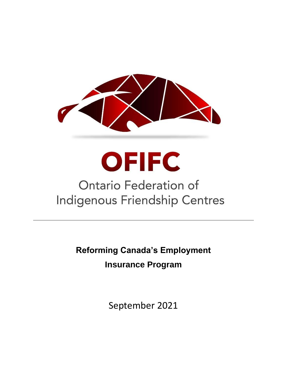

**OFIFC** 

# Ontario Federation of **Indigenous Friendship Centres**

**Reforming Canada's Employment Insurance Program**

September 2021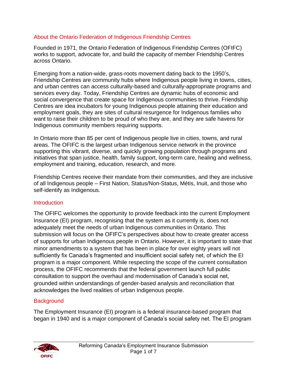# About the Ontario Federation of Indigenous Friendship Centres

Founded in 1971, the Ontario Federation of Indigenous Friendship Centres (OFIFC) works to support, advocate for, and build the capacity of member Friendship Centres across Ontario.

Emerging from a nation-wide, grass-roots movement dating back to the 1950's, Friendship Centres are community hubs where Indigenous people living in towns, cities, and urban centres can access culturally-based and culturally-appropriate programs and services every day. Today, Friendship Centres are dynamic hubs of economic and social convergence that create space for Indigenous communities to thrive. Friendship Centres are idea incubators for young Indigenous people attaining their education and employment goals, they are sites of cultural resurgence for Indigenous families who want to raise their children to be proud of who they are, and they are safe havens for Indigenous community members requiring supports.

In Ontario more than 85 per cent of Indigenous people live in cities, towns, and rural areas. The OFIFC is the largest urban Indigenous service network in the province supporting this vibrant, diverse, and quickly growing population through programs and initiatives that span justice, health, family support, long-term care, healing and wellness, employment and training, education, research, and more.

Friendship Centres receive their mandate from their communities, and they are inclusive of all Indigenous people – First Nation, Status/Non-Status, Métis, Inuit, and those who self-identify as Indigenous.

### **Introduction**

The OFIFC welcomes the opportunity to provide feedback into the current Employment Insurance (EI) program, recognising that the system as it currently is, does not adequately meet the needs of urban Indigenous communities in Ontario. This submission will focus on the OFIFC's perspectives about how to create greater access of supports for urban Indigenous people in Ontario. However, it is important to state that minor amendments to a system that has been in place for over eighty years will not sufficiently fix Canada's fragmented and insufficient social safety net, of which the EI program is a major component. While respecting the scope of the current consultation process, the OFIFC recommends that the federal government launch full public consultation to support the overhaul and modernisation of Canada's social net, grounded within understandings of gender-based analysis and reconciliation that acknowledges the lived realities of urban Indigenous people.

### **Background**

The Employment Insurance (EI) program is a federal insurance-based program that began in 1940 and is a major component of Canada's social safety net. The EI program

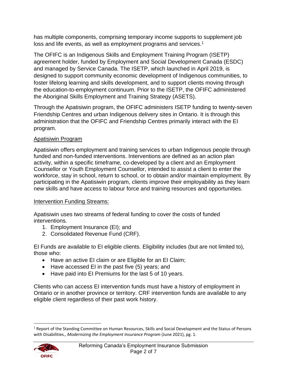has multiple components, comprising temporary income supports to supplement job loss and life events, as well as employment programs and services.<sup>1</sup>

The OFIFC is an Indigenous Skills and Employment Training Program (ISETP) agreement holder, funded by Employment and Social Development Canada (ESDC) and managed by Service Canada. The ISETP, which launched in April 2019, is designed to support community economic development of Indigenous communities, to foster lifelong learning and skills development, and to support clients moving through the education-to-employment continuum. Prior to the ISETP, the OFIFC administered the Aboriginal Skills Employment and Training Strategy (ASETS).

Through the Apatisiwin program, the OFIFC administers ISETP funding to twenty-seven Friendship Centres and urban Indigenous delivery sites in Ontario. It is through this administration that the OFIFC and Friendship Centres primarily interact with the EI program.

# Apatisiwin Program

Apatisiwin offers employment and training services to urban Indigenous people through funded and non-funded interventions. Interventions are defined as an action plan activity, within a specific timeframe, co-developed by a client and an Employment Counsellor or Youth Employment Counsellor, intended to assist a client to enter the workforce, stay in school, return to school, or to obtain and/or maintain employment. By participating in the Apatisiwin program, clients improve their employability as they learn new skills and have access to labour force and training resources and opportunities.

# Intervention Funding Streams:

Apatisiwin uses two streams of federal funding to cover the costs of funded interventions.

- 1. Employment Insurance (EI); and
- 2. Consolidated Revenue Fund (CRF).

EI Funds are available to EI eligible clients. Eligibility includes (but are not limited to), those who:

- Have an active EI claim or are Eligible for an EI Claim;
- Have accessed EI in the past five (5) years; and
- Have paid into EI Premiums for the last 5 of 10 years.

Clients who can access EI intervention funds must have a history of employment in Ontario or in another province or territory. CRF intervention funds are available to any eligible client regardless of their past work history.

<sup>&</sup>lt;sup>1</sup> Report of the Standing Committee on Human Resources, Skills and Social Development and the Status of Persons with Disabilities., *Modernizing the Employment Insurance Program* (June 2021), pg. 1.

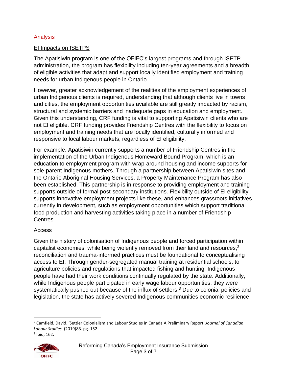# Analysis

## EI Impacts on ISETPS

The Apatisiwin program is one of the OFIFC's largest programs and through ISETP administration, the program has flexibility including ten-year agreements and a breadth of eligible activities that adapt and support locally identified employment and training needs for urban Indigenous people in Ontario.

However, greater acknowledgement of the realities of the employment experiences of urban Indigenous clients is required, understanding that although clients live in towns and cities, the employment opportunities available are still greatly impacted by racism, structural and systemic barriers and inadequate gaps in education and employment. Given this understanding, CRF funding is vital to supporting Apatisiwin clients who are not EI eligible. CRF funding provides Friendship Centres with the flexibility to focus on employment and training needs that are locally identified, culturally informed and responsive to local labour markets, regardless of EI eligibility.

For example, Apatisiwin currently supports a number of Friendship Centres in the implementation of the Urban Indigenous Homeward Bound Program, which is an education to employment program with wrap-around housing and income supports for sole-parent Indigenous mothers. Through a partnership between Apatisiwin sites and the Ontario Aboriginal Housing Services, a Property Maintenance Program has also been established. This partnership is in response to providing employment and training supports outside of formal post-secondary institutions. Flexibility outside of EI eligibility supports innovative employment projects like these, and enhances grassroots initiatives currently in development, such as employment opportunities which support traditional food production and harvesting activities taking place in a number of Friendship Centres.

### Access

Given the history of colonisation of Indigenous people and forced participation within capitalist economies, while being violently removed from their land and resources, 2 reconciliation and trauma-informed practices must be foundational to conceptualising access to EI. Through gender-segregated manual training at residential schools, to agriculture policies and regulations that impacted fishing and hunting, Indigenous people have had their work conditions continually regulated by the state. Additionally, while Indigenous people participated in early wage labour opportunities, they were systematically pushed out because of the influx of settlers.<sup>3</sup> Due to colonial policies and legislation, the state has actively severed Indigenous communities economic resilience

 $3$  Ibid, 162.



<sup>2</sup> Camfield, David. 'Settler Colonialism and Labour Studies in Canada A Preliminary Report. *Journal of Canadian Labour Studies.* (2019)83. pg. 152.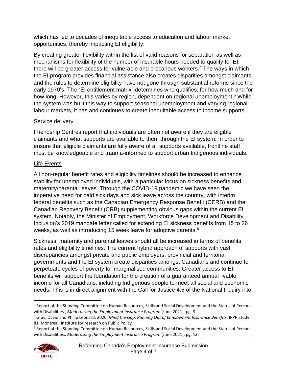which has led to decades of inequitable access to education and labour market opportunities, thereby impacting EI eligibility.

By creating greater flexibility within the list of valid reasons for separation as well as mechanisms for flexibility of the number of insurable hours needed to qualify for EI, there will be greater access for vulnerable and precarious workers.<sup>4</sup> The ways in which the EI program provides financial assistance also creates disparities amongst claimants and the rules to determine eligibility have not gone through substantial reforms since the early 1970's. The "EI entitlement matrix" determines who qualifies, for how much and for how long. However, this varies by region, dependent on regional unemployment.<sup>5</sup> While the system was built this way to support seasonal unemployment and varying regional labour markets, it has and continues to create inequitable access to income supports.

# Service delivery

Friendship Centres report that individuals are often not aware if they are eligible claimants and what supports are available to them through the EI system. In order to ensure that eligible claimants are fully aware of all supports available, frontline staff must be knowledgeable and trauma-informed to support urban Indigenous individuals.

# Life Events

All non-regular benefit rates and eligibility timelines should be increased to enhance stability for unemployed individuals, with a particular focus on sickness benefits and maternity/parental leaves. Through the COVID-19 pandemic we have seen the imperative need for paid sick days and sick leave across the country, with interim federal benefits such as the Canadian Emergency Response Benefit (CERB) and the Canadian Recovery Benefit (CRB) supplementing obvious gaps within the current EI system. Notably, the Minister of Employment, Workforce Development and Disability Inclusion's 2019 mandate letter called for extending EI sickness benefits from 15 to 26 weeks, as well as introducing 15 week leave for adoptive parents.<sup>6</sup>

Sickness, maternity and parental leaves should all be increased in terms of benefits rates and eligibility timelines. The current hybrid approach of supports with vast discrepancies amongst private and public employers, provincial and territorial governments and the EI system create disparities amongst Canadians and continue to perpetuate cycles of poverty for marginalised communities. Greater access to EI benefits will support the foundation for the creation of a guaranteed annual livable income for all Canadians, including Indigenous people to meet all social and economic needs. This is in direct alignment with the Call for Justice 4.5 of the National Inquiry into

<sup>6</sup> Report of the Standing Committee on Human Resources, Skills and Social Development and the Status of Persons with Disabilities., *Modernizing the Employment Insurance Program* (June 2021), pg. 13.



<sup>4</sup> Report of the Standing Committee on Human Resources, Skills and Social Development and the Status of Persons with Disabilities., *Modernizing the Employment Insurance Program* (June 2021), pg. 3.

<sup>5</sup> Gray, David and Philip Leonard. 2020. *Mind the Gap: Running Out of Employment Insurance Benefits*. IRPP Study 81. Montreal: Institute for research on Public Policy.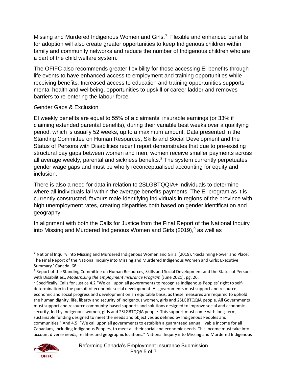Missing and Murdered Indigenous Women and Girls.<sup>7</sup> Flexible and enhanced benefits for adoption will also create greater opportunities to keep Indigenous children within family and community networks and reduce the number of Indigenous children who are a part of the child welfare system.

The OFIFC also recommends greater flexibility for those accessing EI benefits through life events to have enhanced access to employment and training opportunities while receiving benefits. Increased access to education and training opportunities supports mental health and wellbeing, opportunities to upskill or career ladder and removes barriers to re-entering the labour force.

## Gender Gaps & Exclusion

EI weekly benefits are equal to 55% of a claimants' insurable earnings (or 33% if claiming extended parental benefits), during their variable best weeks over a qualifying period, which is usually 52 weeks, up to a maximum amount. Data presented in the Standing Committee on Human Resources, Skills and Social Development and the Status of Persons with Disabilities recent report demonstrates that due to pre-existing structural pay gaps between women and men, women receive smaller payments across all average weekly, parental and sickness benefits. $8$  The system currently perpetuates gender wage gaps and must be wholly reconceptualised accounting for equity and inclusion.

There is also a need for data in relation to 2SLGBTQQIA+ individuals to determine where all individuals fall within the average benefits payments. The EI program as it is currently constructed, favours male-identifying individuals in regions of the province with high unemployment rates, creating disparities both based on gender identification and geography.

In alignment with both the Calls for Justice from the Final Report of the National Inquiry into Missing and Murdered Indigenous Women and Girls (2019), <sup>9</sup> as well as

<sup>&</sup>lt;sup>9</sup> Specifically, Calls for Justice 4.2 "We call upon all governments to recognize Indigenous Peoples' right to selfdetermination in the pursuit of economic social development. All governments must support and resource economic and social progress and development on an equitable basis, as these measures are required to uphold the human dignity, life, liberty and security of Indigenous women, girls and 2SLGBTQQIA people. All Governments must support and resource community-based supports and solutions designed to improve social and economic security, led by Indigenous women, girls and 2SLGBTQQIA people. This support must come with long-term, sustainable funding designed to meet the needs and objectives as defined by Indigenous Peoples and communities." And 4.5: "We call upon all governments to establish a guaranteed annual livable income for all Canadians, including Indigenous Peoples, to meet all their social and economic needs. This income must take into account diverse needs, realities and geographic locations." National Inquiry into Missing and Murdered Indigenous



<sup>7</sup> National Inquiry into Missing and Murdered Indigenous Women and Girls. (2019). 'Reclaiming Power and Place: The Final Report of the National Inquiry into Missing and Murdered Indigenous Women and Girls: Executive Summary.' Canada. 68.

<sup>8</sup> Report of the Standing Committee on Human Resources, Skills and Social Development and the Status of Persons with Disabilities., *Modernizing the Employment Insurance Program* (June 2021), pg. 26.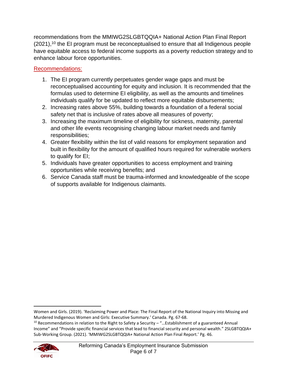recommendations from the MMIWG2SLGBTQQIA+ National Action Plan Final Report  $(2021)$ ,<sup>10</sup> the EI program must be reconceptualised to ensure that all Indigenous people have equitable access to federal income supports as a poverty reduction strategy and to enhance labour force opportunities.

# Recommendations:

- 1. The EI program currently perpetuates gender wage gaps and must be reconceptualised accounting for equity and inclusion. It is recommended that the formulas used to determine EI eligibility, as well as the amounts and timelines individuals qualify for be updated to reflect more equitable disbursements;
- 2. Increasing rates above 55%, building towards a foundation of a federal social safety net that is inclusive of rates above all measures of poverty;
- 3. Increasing the maximum timeline of eligibility for sickness, maternity, parental and other life events recognising changing labour market needs and family responsibilities;
- 4. Greater flexibility within the list of valid reasons for employment separation and built in flexibility for the amount of qualified hours required for vulnerable workers to qualify for EI;
- 5. Individuals have greater opportunities to access employment and training opportunities while receiving benefits; and
- 6. Service Canada staff must be trauma-informed and knowledgeable of the scope of supports available for Indigenous claimants.

Women and Girls. (2019). 'Reclaiming Power and Place: The Final Report of the National Inquiry into Missing and Murdered Indigenous Women and Girls: Executive Summary.' Canada. Pg. 67-68.

<sup>&</sup>lt;sup>10</sup> Recommendations in relation to the Right to Safety a Security – "... Establishment of a guaranteed Annual Income" and "Provide specific financial services that lead to financial security and personal wealth." 2SLGBTQQIA+ Sub-Working Group. (2021). 'MMIWG2SLGBTQQIA+ National Action Plan Final Report.' Pg. 46.